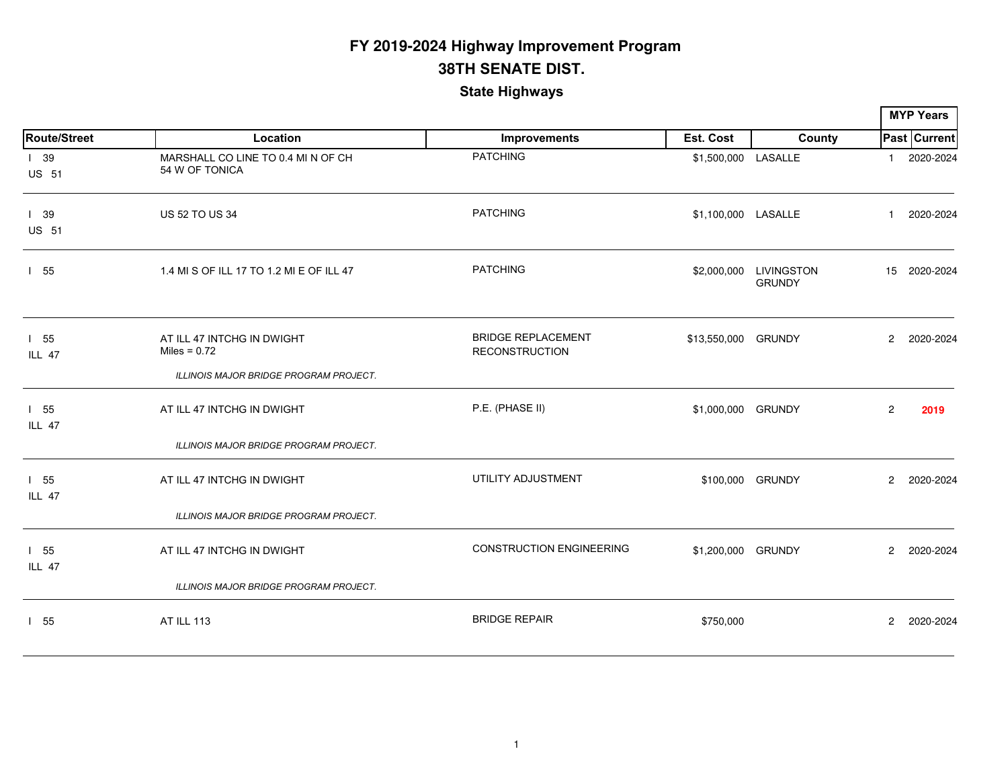|                             |                                                                                        |                                                    |                     |                                         |                      | <b>MYP Years</b>    |
|-----------------------------|----------------------------------------------------------------------------------------|----------------------------------------------------|---------------------|-----------------------------------------|----------------------|---------------------|
| <b>Route/Street</b>         | Location                                                                               | Improvements                                       | Est. Cost           | County                                  |                      | <b>Past Current</b> |
| 139<br><b>US 51</b>         | MARSHALL CO LINE TO 0.4 MI N OF CH<br>54 W OF TONICA                                   | <b>PATCHING</b>                                    | \$1,500,000 LASALLE |                                         | $\mathbf{1}$         | 2020-2024           |
| $1$ 39<br><b>US 51</b>      | <b>US 52 TO US 34</b>                                                                  | <b>PATCHING</b>                                    | \$1,100,000 LASALLE |                                         | $\mathbf{1}$         | 2020-2024           |
| 155                         | 1.4 MI S OF ILL 17 TO 1.2 MI E OF ILL 47                                               | <b>PATCHING</b>                                    |                     | \$2,000,000 LIVINGSTON<br><b>GRUNDY</b> |                      | 15 2020-2024        |
| 155<br>ILL 47               | AT ILL 47 INTCHG IN DWIGHT<br>Miles = $0.72$<br>ILLINOIS MAJOR BRIDGE PROGRAM PROJECT. | <b>BRIDGE REPLACEMENT</b><br><b>RECONSTRUCTION</b> | \$13,550,000 GRUNDY |                                         | $\mathbf{2}^{\circ}$ | 2020-2024           |
| $1\quad55$<br><b>ILL 47</b> | AT ILL 47 INTCHG IN DWIGHT                                                             | P.E. (PHASE II)                                    | \$1,000,000 GRUNDY  |                                         | $\overline{2}$       | 2019                |
|                             | ILLINOIS MAJOR BRIDGE PROGRAM PROJECT.                                                 |                                                    |                     |                                         |                      |                     |
| $1\quad55$<br>ILL 47        | AT ILL 47 INTCHG IN DWIGHT                                                             | UTILITY ADJUSTMENT                                 |                     | \$100,000 GRUNDY                        | $\mathbf{2}^{\circ}$ | 2020-2024           |
|                             | ILLINOIS MAJOR BRIDGE PROGRAM PROJECT.                                                 |                                                    |                     |                                         |                      |                     |
| 155<br><b>ILL 47</b>        | AT ILL 47 INTCHG IN DWIGHT                                                             | <b>CONSTRUCTION ENGINEERING</b>                    | \$1,200,000 GRUNDY  |                                         | $\overline{2}$       | 2020-2024           |
|                             | ILLINOIS MAJOR BRIDGE PROGRAM PROJECT.                                                 |                                                    |                     |                                         |                      |                     |
| 155                         | <b>AT ILL 113</b>                                                                      | <b>BRIDGE REPAIR</b>                               | \$750,000           |                                         | $\overline{2}$       | 2020-2024           |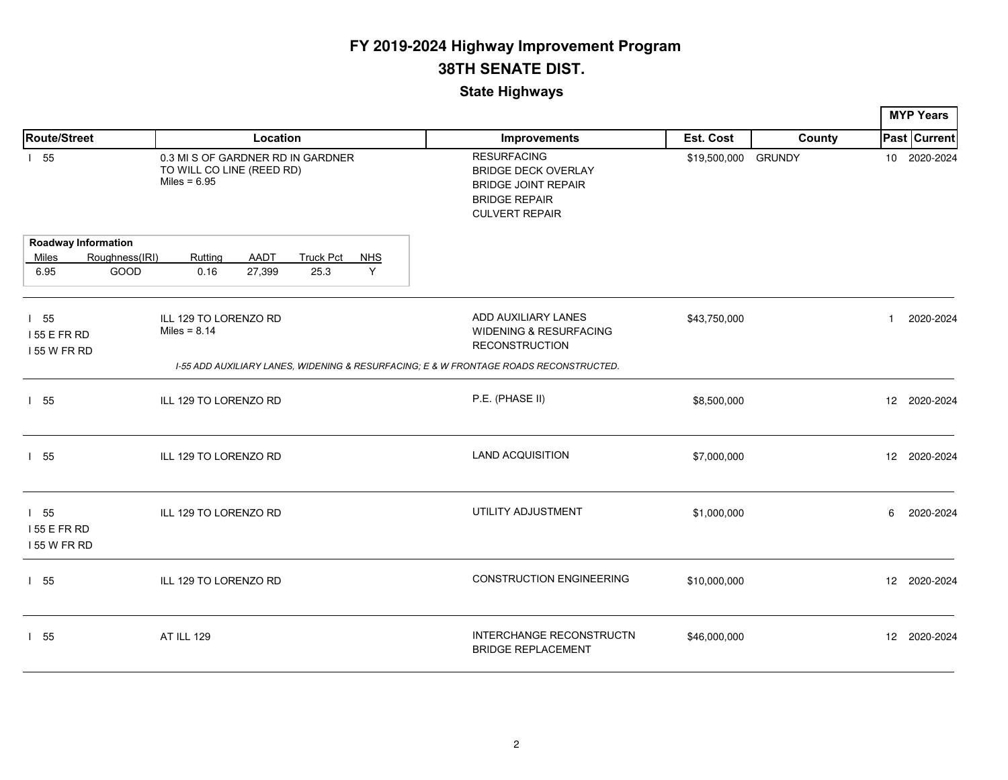|                                                 |                        |                                                                                  |                |                          |                 |                                                                                                                                 |                     |        |              | <b>MYP Years</b>    |
|-------------------------------------------------|------------------------|----------------------------------------------------------------------------------|----------------|--------------------------|-----------------|---------------------------------------------------------------------------------------------------------------------------------|---------------------|--------|--------------|---------------------|
| <b>Route/Street</b>                             |                        |                                                                                  | Location       |                          |                 | Improvements                                                                                                                    | Est. Cost           | County |              | <b>Past Current</b> |
| $1\quad55$                                      |                        | 0.3 MI S OF GARDNER RD IN GARDNER<br>TO WILL CO LINE (REED RD)<br>Miles = $6.95$ |                |                          |                 | <b>RESURFACING</b><br><b>BRIDGE DECK OVERLAY</b><br><b>BRIDGE JOINT REPAIR</b><br><b>BRIDGE REPAIR</b><br><b>CULVERT REPAIR</b> | \$19,500,000 GRUNDY |        |              | 10 2020-2024        |
|                                                 | Roadway Information    |                                                                                  |                |                          |                 |                                                                                                                                 |                     |        |              |                     |
| Miles<br>6.95                                   | Roughness(IRI)<br>GOOD | Ruttina<br>0.16                                                                  | AADT<br>27,399 | <b>Truck Pct</b><br>25.3 | <b>NHS</b><br>Y |                                                                                                                                 |                     |        |              |                     |
| 155<br>155 E FR RD<br>155 W FR RD               |                        | ILL 129 TO LORENZO RD<br>Miles = $8.14$                                          |                |                          |                 | ADD AUXILIARY LANES<br>WIDENING & RESURFACING<br><b>RECONSTRUCTION</b>                                                          | \$43,750,000        |        | $\mathbf{1}$ | 2020-2024           |
|                                                 |                        |                                                                                  |                |                          |                 | 1-55 ADD AUXILIARY LANES, WIDENING & RESURFACING; E & W FRONTAGE ROADS RECONSTRUCTED.                                           |                     |        |              |                     |
| $1\quad55$                                      |                        | ILL 129 TO LORENZO RD                                                            |                |                          |                 | P.E. (PHASE II)                                                                                                                 | \$8,500,000         |        |              | 12 2020-2024        |
| 155                                             |                        | ILL 129 TO LORENZO RD                                                            |                |                          |                 | <b>LAND ACQUISITION</b>                                                                                                         | \$7,000,000         |        |              | 12 2020-2024        |
| $1\quad55$<br><b>155 E FR RD</b><br>155 W FR RD |                        | ILL 129 TO LORENZO RD                                                            |                |                          |                 | UTILITY ADJUSTMENT                                                                                                              | \$1,000,000         |        | 6            | 2020-2024           |
| 155                                             |                        | ILL 129 TO LORENZO RD                                                            |                |                          |                 | <b>CONSTRUCTION ENGINEERING</b>                                                                                                 | \$10,000,000        |        |              | 12 2020-2024        |
| 1 55                                            |                        | <b>AT ILL 129</b>                                                                |                |                          |                 | INTERCHANGE RECONSTRUCTN<br><b>BRIDGE REPLACEMENT</b>                                                                           | \$46,000,000        |        |              | 12 2020-2024        |
|                                                 |                        |                                                                                  |                |                          |                 |                                                                                                                                 |                     |        |              |                     |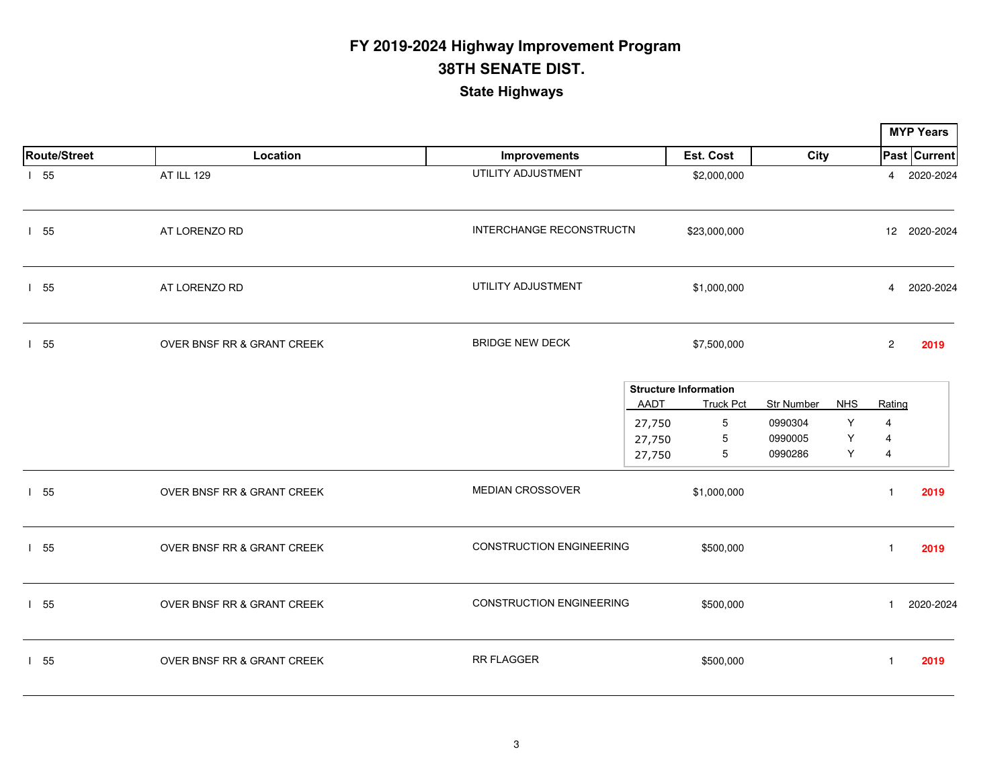|                     |                                       |                                 |                              |                  |             |            |                | <b>MYP Years</b> |
|---------------------|---------------------------------------|---------------------------------|------------------------------|------------------|-------------|------------|----------------|------------------|
| <b>Route/Street</b> | Location                              | Improvements                    |                              | Est. Cost        | <b>City</b> |            |                | Past Current     |
| 155                 | <b>AT ILL 129</b>                     | UTILITY ADJUSTMENT              |                              | \$2,000,000      |             |            |                | 4 2020-2024      |
| 155                 | AT LORENZO RD                         | INTERCHANGE RECONSTRUCTN        |                              | \$23,000,000     |             |            |                | 12 2020-2024     |
| 155                 | AT LORENZO RD                         | UTILITY ADJUSTMENT              |                              | \$1,000,000      |             |            | $\overline{4}$ | 2020-2024        |
| 155                 | OVER BNSF RR & GRANT CREEK            | <b>BRIDGE NEW DECK</b>          |                              | \$7,500,000      |             |            | $\mathbf{2}$   | 2019             |
|                     |                                       |                                 | <b>Structure Information</b> |                  |             |            |                |                  |
|                     |                                       |                                 | <b>AADT</b>                  | <b>Truck Pct</b> | Str Number  | <b>NHS</b> | Rating         |                  |
|                     |                                       |                                 | 27,750                       | $5\phantom{.0}$  | 0990304     | Y          | 4              |                  |
|                     |                                       |                                 | 27,750                       | $\overline{5}$   | 0990005     | Υ          | 4              |                  |
|                     |                                       |                                 | 27,750                       | 5                | 0990286     | Y          | $\overline{4}$ |                  |
| 155                 | OVER BNSF RR & GRANT CREEK            | <b>MEDIAN CROSSOVER</b>         |                              | \$1,000,000      |             |            | $\mathbf{1}$   | 2019             |
| 155                 | OVER BNSF RR & GRANT CREEK            | <b>CONSTRUCTION ENGINEERING</b> |                              | \$500,000        |             |            | $\mathbf{1}$   | 2019             |
| 155                 | OVER BNSF RR & GRANT CREEK            | <b>CONSTRUCTION ENGINEERING</b> |                              | \$500,000        |             |            | $\mathbf{1}$   | 2020-2024        |
| 155                 | <b>OVER BNSF RR &amp; GRANT CREEK</b> | <b>RR FLAGGER</b>               |                              | \$500,000        |             |            | $\mathbf{1}$   | 2019             |
|                     |                                       |                                 |                              |                  |             |            |                |                  |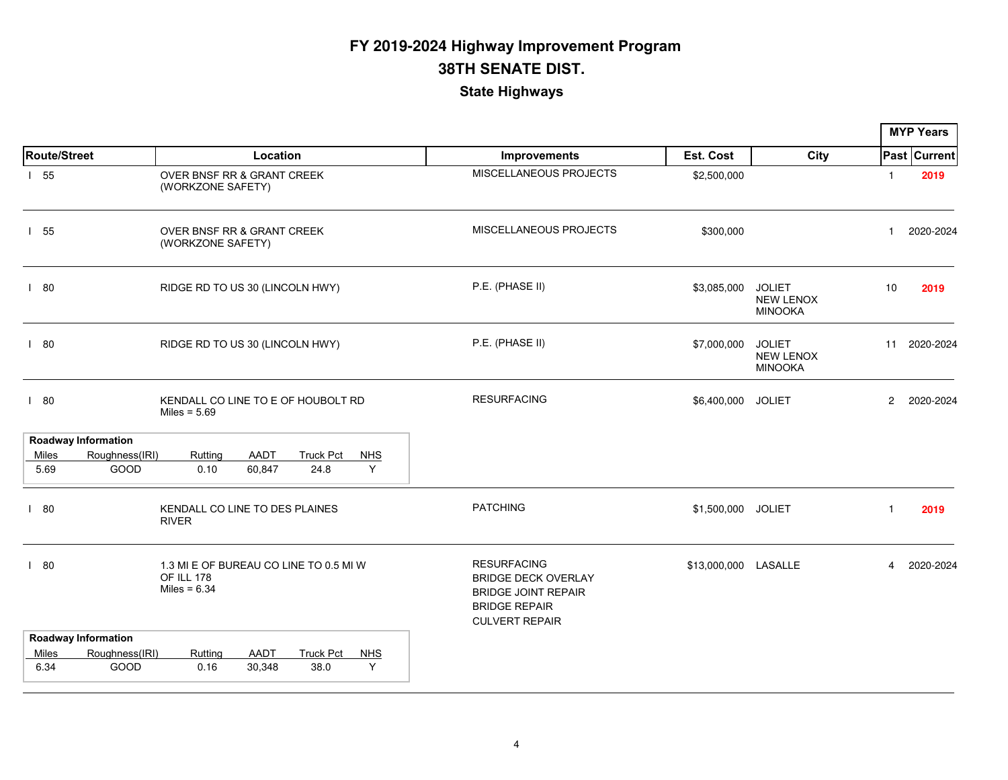|                     |                                                                                                            |                                                                                                                                 |                      |                                                     |                | <b>MYP Years</b> |
|---------------------|------------------------------------------------------------------------------------------------------------|---------------------------------------------------------------------------------------------------------------------------------|----------------------|-----------------------------------------------------|----------------|------------------|
| <b>Route/Street</b> | Location                                                                                                   | Improvements                                                                                                                    | Est. Cost            | <b>City</b>                                         |                | Past Current     |
| 155                 | OVER BNSF RR & GRANT CREEK<br>(WORKZONE SAFETY)                                                            | MISCELLANEOUS PROJECTS                                                                                                          | \$2,500,000          |                                                     | $\mathbf{1}$   | 2019             |
| 155                 | OVER BNSF RR & GRANT CREEK<br>(WORKZONE SAFETY)                                                            | MISCELLANEOUS PROJECTS                                                                                                          | \$300,000            |                                                     | $\mathbf{1}$   | 2020-2024        |
| 180                 | RIDGE RD TO US 30 (LINCOLN HWY)                                                                            | P.E. (PHASE II)                                                                                                                 | \$3,085,000          | <b>JOLIET</b><br><b>NEW LENOX</b><br><b>MINOOKA</b> | 10             | 2019             |
| 180                 | RIDGE RD TO US 30 (LINCOLN HWY)                                                                            | P.E. (PHASE II)                                                                                                                 | \$7,000,000          | <b>JOLIET</b><br><b>NEW LENOX</b><br><b>MINOOKA</b> | 11             | 2020-2024        |
| 180                 | KENDALL CO LINE TO E OF HOUBOLT RD<br>Miles = $5.69$                                                       | <b>RESURFACING</b>                                                                                                              | \$6,400,000 JOLIET   |                                                     | $\overline{2}$ | 2020-2024        |
|                     | <b>Roadway Information</b>                                                                                 |                                                                                                                                 |                      |                                                     |                |                  |
| Miles<br>5.69       | Roughness(IRI)<br>Rutting<br>AADT<br><b>Truck Pct</b><br><b>NHS</b><br>Y<br>GOOD<br>60,847<br>24.8<br>0.10 |                                                                                                                                 |                      |                                                     |                |                  |
| 180                 | KENDALL CO LINE TO DES PLAINES<br><b>RIVER</b>                                                             | <b>PATCHING</b>                                                                                                                 | \$1,500,000 JOLIET   |                                                     | -1             | 2019             |
| 180                 | 1.3 MI E OF BUREAU CO LINE TO 0.5 MI W<br>OF ILL 178<br>Miles = $6.34$                                     | <b>RESURFACING</b><br><b>BRIDGE DECK OVERLAY</b><br><b>BRIDGE JOINT REPAIR</b><br><b>BRIDGE REPAIR</b><br><b>CULVERT REPAIR</b> | \$13,000,000 LASALLE |                                                     | $\overline{4}$ | 2020-2024        |
|                     | <b>Roadway Information</b>                                                                                 |                                                                                                                                 |                      |                                                     |                |                  |
| Miles<br>6.34       | Roughness(IRI)<br>AADT<br><b>Truck Pct</b><br>Ruttina<br><b>NHS</b><br>Y<br>GOOD<br>0.16<br>30,348<br>38.0 |                                                                                                                                 |                      |                                                     |                |                  |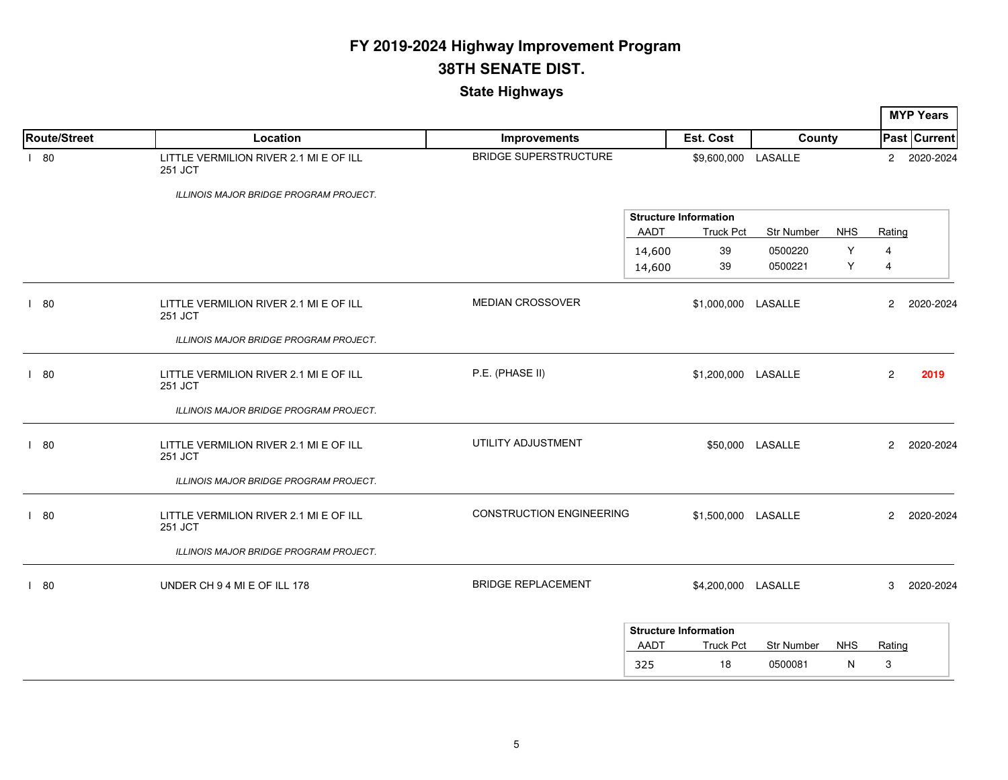|                     |                                                   |                                 |                                                          |                              |                 |                       | <b>MYP Years</b>    |
|---------------------|---------------------------------------------------|---------------------------------|----------------------------------------------------------|------------------------------|-----------------|-----------------------|---------------------|
| <b>Route/Street</b> | Location                                          | <b>Improvements</b>             | Est. Cost                                                | County                       |                 |                       | <b>Past Current</b> |
| 180                 | LITTLE VERMILION RIVER 2.1 MI E OF ILL<br>251 JCT | <b>BRIDGE SUPERSTRUCTURE</b>    | \$9,600,000 LASALLE                                      |                              |                 | $\overline{2}$        | 2020-2024           |
|                     | <b>ILLINOIS MAJOR BRIDGE PROGRAM PROJECT.</b>     |                                 |                                                          |                              |                 |                       |                     |
|                     |                                                   |                                 | <b>Structure Information</b><br>AADT<br><b>Truck Pct</b> | <b>Str Number</b>            | <b>NHS</b>      | Rating                |                     |
|                     |                                                   |                                 | 39<br>14,600<br>39<br>14,600                             | 0500220<br>0500221           | Y<br>Y          | $\overline{4}$<br>4   |                     |
| 180                 | LITTLE VERMILION RIVER 2.1 MI E OF ILL<br>251 JCT | <b>MEDIAN CROSSOVER</b>         | \$1,000,000 LASALLE                                      |                              |                 | $\mathbf{2}^{\prime}$ | 2020-2024           |
|                     | ILLINOIS MAJOR BRIDGE PROGRAM PROJECT.            |                                 |                                                          |                              |                 |                       |                     |
| 180                 | LITTLE VERMILION RIVER 2.1 MI E OF ILL<br>251 JCT | P.E. (PHASE II)                 | \$1,200,000 LASALLE                                      |                              |                 | $\overline{2}$        | 2019                |
|                     | ILLINOIS MAJOR BRIDGE PROGRAM PROJECT.            |                                 |                                                          |                              |                 |                       |                     |
| 180                 | LITTLE VERMILION RIVER 2.1 MI E OF ILL<br>251 JCT | UTILITY ADJUSTMENT              |                                                          | \$50,000 LASALLE             |                 | $\overline{2}$        | 2020-2024           |
|                     | ILLINOIS MAJOR BRIDGE PROGRAM PROJECT.            |                                 |                                                          |                              |                 |                       |                     |
| 180                 | LITTLE VERMILION RIVER 2.1 MI E OF ILL<br>251 JCT | <b>CONSTRUCTION ENGINEERING</b> | \$1,500,000 LASALLE                                      |                              |                 | $\overline{2}$        | 2020-2024           |
|                     | ILLINOIS MAJOR BRIDGE PROGRAM PROJECT.            |                                 |                                                          |                              |                 |                       |                     |
| 180                 | UNDER CH 9 4 MI E OF ILL 178                      | <b>BRIDGE REPLACEMENT</b>       | \$4,200,000 LASALLE                                      |                              |                 | 3                     | 2020-2024           |
|                     |                                                   |                                 | <b>Structure Information</b>                             |                              |                 |                       |                     |
|                     |                                                   |                                 | AADT<br><b>Truck Pct</b><br>18<br>325                    | <b>Str Number</b><br>0500081 | <b>NHS</b><br>N | Rating<br>3           |                     |
|                     |                                                   |                                 |                                                          |                              |                 |                       |                     |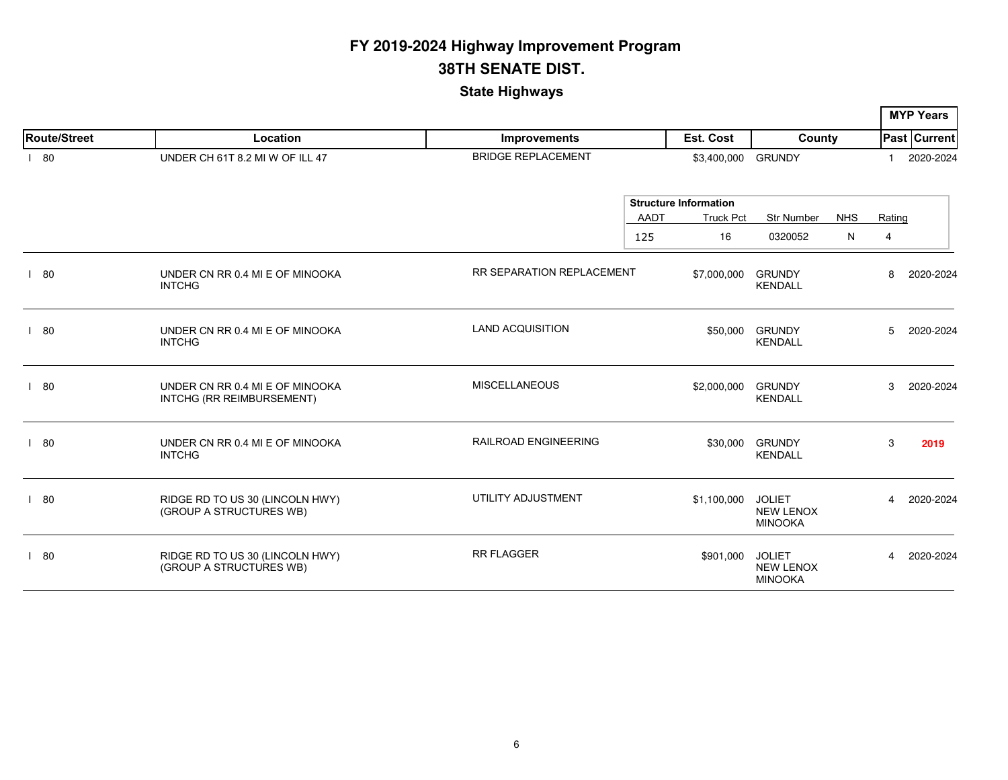|                     |                                                              |                             |                              |                                                     |            |                | <b>MYP Years</b> |
|---------------------|--------------------------------------------------------------|-----------------------------|------------------------------|-----------------------------------------------------|------------|----------------|------------------|
| <b>Route/Street</b> | Location                                                     | <b>Improvements</b>         | Est. Cost                    | County                                              |            |                | Past Current     |
| 180                 | UNDER CH 61T 8.2 MI W OF ILL 47                              | <b>BRIDGE REPLACEMENT</b>   | \$3,400,000 GRUNDY           |                                                     |            | -1             | 2020-2024        |
|                     |                                                              |                             | <b>Structure Information</b> |                                                     |            |                |                  |
|                     |                                                              | AADT                        | <b>Truck Pct</b>             | <b>Str Number</b>                                   | <b>NHS</b> | Rating         |                  |
|                     |                                                              | 125                         | 16                           | 0320052                                             | ${\sf N}$  | 4              |                  |
| 80                  | UNDER CN RR 0.4 MI E OF MINOOKA<br><b>INTCHG</b>             | RR SEPARATION REPLACEMENT   | \$7,000,000                  | <b>GRUNDY</b><br><b>KENDALL</b>                     |            | 8              | 2020-2024        |
| 180                 | UNDER CN RR 0.4 MI E OF MINOOKA<br><b>INTCHG</b>             | <b>LAND ACQUISITION</b>     | \$50,000                     | <b>GRUNDY</b><br><b>KENDALL</b>                     |            | 5              | 2020-2024        |
| 80                  | UNDER CN RR 0.4 MI E OF MINOOKA<br>INTCHG (RR REIMBURSEMENT) | <b>MISCELLANEOUS</b>        | \$2,000,000                  | <b>GRUNDY</b><br><b>KENDALL</b>                     |            | 3              | 2020-2024        |
| 180                 | UNDER CN RR 0.4 MI E OF MINOOKA<br><b>INTCHG</b>             | <b>RAILROAD ENGINEERING</b> | \$30,000                     | <b>GRUNDY</b><br><b>KENDALL</b>                     |            | 3              | 2019             |
| 80                  | RIDGE RD TO US 30 (LINCOLN HWY)<br>(GROUP A STRUCTURES WB)   | UTILITY ADJUSTMENT          | \$1,100,000                  | <b>JOLIET</b><br><b>NEW LENOX</b><br><b>MINOOKA</b> |            | $\overline{4}$ | 2020-2024        |
| 180                 | RIDGE RD TO US 30 (LINCOLN HWY)<br>(GROUP A STRUCTURES WB)   | <b>RR FLAGGER</b>           | \$901,000                    | <b>JOLIET</b><br><b>NEW LENOX</b><br><b>MINOOKA</b> |            | 4              | 2020-2024        |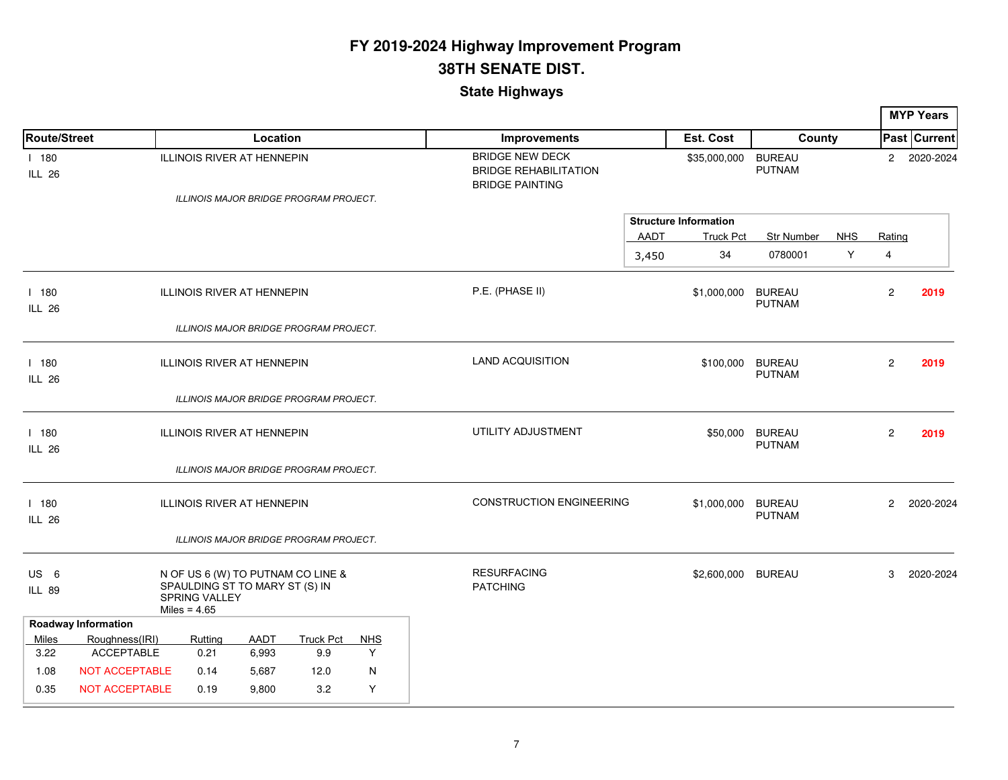|                                  |                            |                                                                          |             |                                        |            |                                                                                  |             |                              |                                |            |                | <b>MYP Years</b>    |
|----------------------------------|----------------------------|--------------------------------------------------------------------------|-------------|----------------------------------------|------------|----------------------------------------------------------------------------------|-------------|------------------------------|--------------------------------|------------|----------------|---------------------|
| Route/Street                     |                            |                                                                          | Location    |                                        |            | <b>Improvements</b>                                                              |             | Est. Cost                    | County                         |            |                | <b>Past Current</b> |
| 1180<br><b>ILL 26</b>            |                            | ILLINOIS RIVER AT HENNEPIN                                               |             | ILLINOIS MAJOR BRIDGE PROGRAM PROJECT. |            | <b>BRIDGE NEW DECK</b><br><b>BRIDGE REHABILITATION</b><br><b>BRIDGE PAINTING</b> |             | \$35,000,000                 | <b>BUREAU</b><br><b>PUTNAM</b> |            | $\overline{c}$ | 2020-2024           |
|                                  |                            |                                                                          |             |                                        |            |                                                                                  |             | <b>Structure Information</b> |                                |            |                |                     |
|                                  |                            |                                                                          |             |                                        |            |                                                                                  | <b>AADT</b> | <b>Truck Pct</b>             | Str Number                     | <b>NHS</b> | Rating         |                     |
|                                  |                            |                                                                          |             |                                        |            |                                                                                  | 3,450       | 34                           | 0780001                        | Y          | 4              |                     |
| 1180<br><b>ILL 26</b>            |                            | <b>ILLINOIS RIVER AT HENNEPIN</b>                                        |             |                                        |            | P.E. (PHASE II)                                                                  |             | \$1,000,000                  | <b>BUREAU</b><br><b>PUTNAM</b> |            | $\mathbf{2}$   | 2019                |
|                                  |                            |                                                                          |             | ILLINOIS MAJOR BRIDGE PROGRAM PROJECT. |            |                                                                                  |             |                              |                                |            |                |                     |
| 1180<br><b>ILL 26</b>            |                            | <b>ILLINOIS RIVER AT HENNEPIN</b>                                        |             |                                        |            | <b>LAND ACQUISITION</b>                                                          |             | \$100,000                    | <b>BUREAU</b><br><b>PUTNAM</b> |            | $\overline{2}$ | 2019                |
|                                  |                            |                                                                          |             | ILLINOIS MAJOR BRIDGE PROGRAM PROJECT. |            |                                                                                  |             |                              |                                |            |                |                     |
| 1180<br><b>ILL 26</b>            |                            | <b>ILLINOIS RIVER AT HENNEPIN</b>                                        |             |                                        |            | UTILITY ADJUSTMENT                                                               |             | \$50,000                     | <b>BUREAU</b><br><b>PUTNAM</b> |            | $\overline{2}$ | 2019                |
|                                  |                            |                                                                          |             | ILLINOIS MAJOR BRIDGE PROGRAM PROJECT. |            |                                                                                  |             |                              |                                |            |                |                     |
| 1180<br><b>ILL 26</b>            |                            | <b>ILLINOIS RIVER AT HENNEPIN</b>                                        |             |                                        |            | <b>CONSTRUCTION ENGINEERING</b>                                                  |             | \$1,000,000                  | <b>BUREAU</b><br><b>PUTNAM</b> |            | $\overline{c}$ | 2020-2024           |
|                                  |                            |                                                                          |             | ILLINOIS MAJOR BRIDGE PROGRAM PROJECT. |            |                                                                                  |             |                              |                                |            |                |                     |
| US <sub>6</sub><br><b>ILL 89</b> |                            | SPAULDING ST TO MARY ST (S) IN<br><b>SPRING VALLEY</b><br>Miles = $4.65$ |             | N OF US 6 (W) TO PUTNAM CO LINE &      |            | <b>RESURFACING</b><br><b>PATCHING</b>                                            |             | \$2,600,000                  | <b>BUREAU</b>                  |            | 3              | 2020-2024           |
|                                  | <b>Roadway Information</b> |                                                                          |             |                                        |            |                                                                                  |             |                              |                                |            |                |                     |
| Miles                            | Roughness(IRI)             | Rutting                                                                  | <b>AADT</b> | <b>Truck Pct</b>                       | <b>NHS</b> |                                                                                  |             |                              |                                |            |                |                     |
| 3.22                             | <b>ACCEPTABLE</b>          | 0.21                                                                     | 6,993       | 9.9                                    | Y          |                                                                                  |             |                              |                                |            |                |                     |
| 1.08                             | <b>NOT ACCEPTABLE</b>      | 0.14                                                                     | 5,687       | 12.0                                   | N          |                                                                                  |             |                              |                                |            |                |                     |
| 0.35                             | NOT ACCEPTABLE             | 0.19                                                                     | 9,800       | 3.2                                    | Υ          |                                                                                  |             |                              |                                |            |                |                     |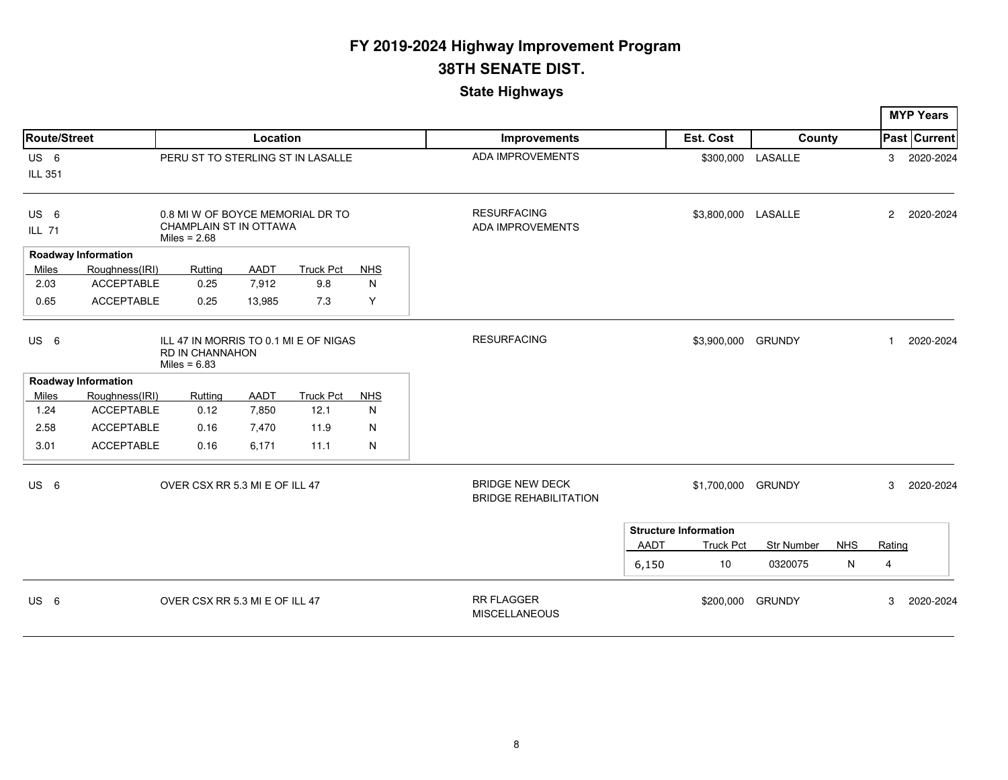|                 |                            |                                                                            |          |                  |            |                                                        |             |                              |                   |            |                | <b>MYP Years</b> |
|-----------------|----------------------------|----------------------------------------------------------------------------|----------|------------------|------------|--------------------------------------------------------|-------------|------------------------------|-------------------|------------|----------------|------------------|
| Route/Street    |                            |                                                                            | Location |                  |            | <b>Improvements</b>                                    |             | Est. Cost                    | County            |            |                | Past Current     |
| US <sub>6</sub> |                            | PERU ST TO STERLING ST IN LASALLE                                          |          |                  |            | <b>ADA IMPROVEMENTS</b>                                |             |                              | \$300,000 LASALLE |            | 3              | 2020-2024        |
| ILL 351         |                            |                                                                            |          |                  |            |                                                        |             |                              |                   |            |                |                  |
| US <sub>6</sub> |                            | 0.8 MI W OF BOYCE MEMORIAL DR TO                                           |          |                  |            | <b>RESURFACING</b>                                     |             | \$3,800,000 LASALLE          |                   |            | $\overline{2}$ | 2020-2024        |
| <b>ILL 71</b>   |                            | CHAMPLAIN ST IN OTTAWA<br>Miles = $2.68$                                   |          |                  |            | <b>ADA IMPROVEMENTS</b>                                |             |                              |                   |            |                |                  |
|                 | <b>Roadway Information</b> |                                                                            |          |                  |            |                                                        |             |                              |                   |            |                |                  |
| Miles           | Roughness(IRI)             | Rutting                                                                    | AADT     | <b>Truck Pct</b> | <b>NHS</b> |                                                        |             |                              |                   |            |                |                  |
| 2.03            | <b>ACCEPTABLE</b>          | 0.25                                                                       | 7,912    | 9.8              | N          |                                                        |             |                              |                   |            |                |                  |
| 0.65            | <b>ACCEPTABLE</b>          | 0.25                                                                       | 13,985   | 7.3              | Y          |                                                        |             |                              |                   |            |                |                  |
| US <sub>6</sub> |                            | ILL 47 IN MORRIS TO 0.1 MI E OF NIGAS<br>RD IN CHANNAHON<br>Miles = $6.83$ |          |                  |            | <b>RESURFACING</b>                                     |             | \$3,900,000                  | <b>GRUNDY</b>     |            | $\mathbf{1}$   | 2020-2024        |
|                 | <b>Roadway Information</b> |                                                                            |          |                  |            |                                                        |             |                              |                   |            |                |                  |
| Miles           | Roughness(IRI)             | Rutting                                                                    | AADT     | <b>Truck Pct</b> | <b>NHS</b> |                                                        |             |                              |                   |            |                |                  |
| 1.24            | <b>ACCEPTABLE</b>          | 0.12                                                                       | 7,850    | 12.1             | N          |                                                        |             |                              |                   |            |                |                  |
| 2.58            | <b>ACCEPTABLE</b>          | 0.16                                                                       | 7,470    | 11.9             | N          |                                                        |             |                              |                   |            |                |                  |
| 3.01            | <b>ACCEPTABLE</b>          | 0.16                                                                       | 6,171    | 11.1             | N          |                                                        |             |                              |                   |            |                |                  |
| US <sub>6</sub> |                            | OVER CSX RR 5.3 MI E OF ILL 47                                             |          |                  |            | <b>BRIDGE NEW DECK</b><br><b>BRIDGE REHABILITATION</b> |             | \$1,700,000                  | <b>GRUNDY</b>     |            | 3              | 2020-2024        |
|                 |                            |                                                                            |          |                  |            |                                                        |             | <b>Structure Information</b> |                   |            |                |                  |
|                 |                            |                                                                            |          |                  |            |                                                        | <b>AADT</b> | <b>Truck Pct</b>             | Str Number        | <b>NHS</b> | Rating         |                  |
|                 |                            |                                                                            |          |                  |            |                                                        | 6,150       | 10                           | 0320075           | N          | 4              |                  |
| US <sub>6</sub> |                            | OVER CSX RR 5.3 MI E OF ILL 47                                             |          |                  |            | <b>RR FLAGGER</b><br><b>MISCELLANEOUS</b>              |             | \$200,000                    | <b>GRUNDY</b>     |            | 3              | 2020-2024        |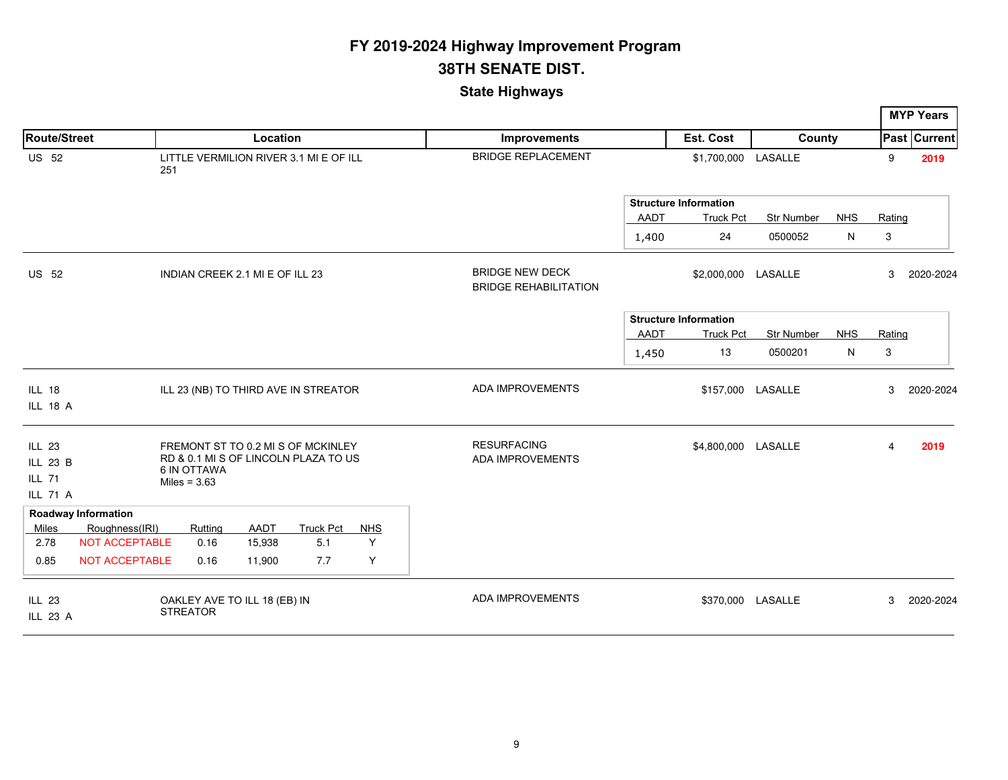|                                  |                            |                                                 |             |                                                                            |            |                                                        |             |                                                  |                   |            |                | <b>MYP Years</b>    |
|----------------------------------|----------------------------|-------------------------------------------------|-------------|----------------------------------------------------------------------------|------------|--------------------------------------------------------|-------------|--------------------------------------------------|-------------------|------------|----------------|---------------------|
| <b>Route/Street</b>              |                            |                                                 | Location    |                                                                            |            | <b>Improvements</b>                                    |             | Est. Cost                                        | County            |            |                | <b>Past Current</b> |
| <b>US 52</b>                     |                            | 251                                             |             | LITTLE VERMILION RIVER 3.1 MI E OF ILL                                     |            | <b>BRIDGE REPLACEMENT</b>                              |             | \$1,700,000 LASALLE                              |                   |            | 9              | 2019                |
|                                  |                            |                                                 |             |                                                                            |            |                                                        | <b>AADT</b> | <b>Structure Information</b><br><b>Truck Pct</b> | <b>Str Number</b> | <b>NHS</b> | Rating         |                     |
|                                  |                            |                                                 |             |                                                                            |            |                                                        | 1,400       | 24                                               | 0500052           | N          | 3              |                     |
| <b>US 52</b>                     |                            | INDIAN CREEK 2.1 MI E OF ILL 23                 |             |                                                                            |            | <b>BRIDGE NEW DECK</b><br><b>BRIDGE REHABILITATION</b> |             | \$2,000,000 LASALLE                              |                   |            | 3              | 2020-2024           |
|                                  |                            |                                                 |             |                                                                            |            |                                                        |             | <b>Structure Information</b>                     |                   |            |                |                     |
|                                  |                            |                                                 |             |                                                                            |            |                                                        | <b>AADT</b> | <b>Truck Pct</b>                                 | <b>Str Number</b> | <b>NHS</b> | Rating         |                     |
|                                  |                            |                                                 |             |                                                                            |            |                                                        | 1,450       | 13                                               | 0500201           | N          | 3              |                     |
| <b>ILL 18</b>                    |                            |                                                 |             | ILL 23 (NB) TO THIRD AVE IN STREATOR                                       |            | <b>ADA IMPROVEMENTS</b>                                |             |                                                  | \$157,000 LASALLE |            | 3              | 2020-2024           |
| ILL 18 A                         |                            |                                                 |             |                                                                            |            |                                                        |             |                                                  |                   |            |                |                     |
| ILL 23                           |                            |                                                 |             | FREMONT ST TO 0.2 MI S OF MCKINLEY<br>RD & 0.1 MI S OF LINCOLN PLAZA TO US |            | <b>RESURFACING</b><br><b>ADA IMPROVEMENTS</b>          |             | \$4,800,000 LASALLE                              |                   |            | $\overline{4}$ | 2019                |
| ILL 23 B                         |                            | <b>6 IN OTTAWA</b>                              |             |                                                                            |            |                                                        |             |                                                  |                   |            |                |                     |
| <b>ILL 71</b><br><b>ILL 71 A</b> |                            | Miles = $3.63$                                  |             |                                                                            |            |                                                        |             |                                                  |                   |            |                |                     |
|                                  | <b>Roadway Information</b> |                                                 |             |                                                                            |            |                                                        |             |                                                  |                   |            |                |                     |
| Miles                            | Roughness(IRI)             | Rutting                                         | <b>AADT</b> | <b>Truck Pct</b>                                                           | <b>NHS</b> |                                                        |             |                                                  |                   |            |                |                     |
| 2.78                             | NOT ACCEPTABLE             | 0.16                                            | 15,938      | 5.1                                                                        | Y          |                                                        |             |                                                  |                   |            |                |                     |
| 0.85                             | <b>NOT ACCEPTABLE</b>      | 0.16                                            | 11,900      | 7.7                                                                        | Y          |                                                        |             |                                                  |                   |            |                |                     |
| <b>ILL 23</b><br>ILL 23 A        |                            | OAKLEY AVE TO ILL 18 (EB) IN<br><b>STREATOR</b> |             |                                                                            |            | <b>ADA IMPROVEMENTS</b>                                |             |                                                  | \$370,000 LASALLE |            | 3              | 2020-2024           |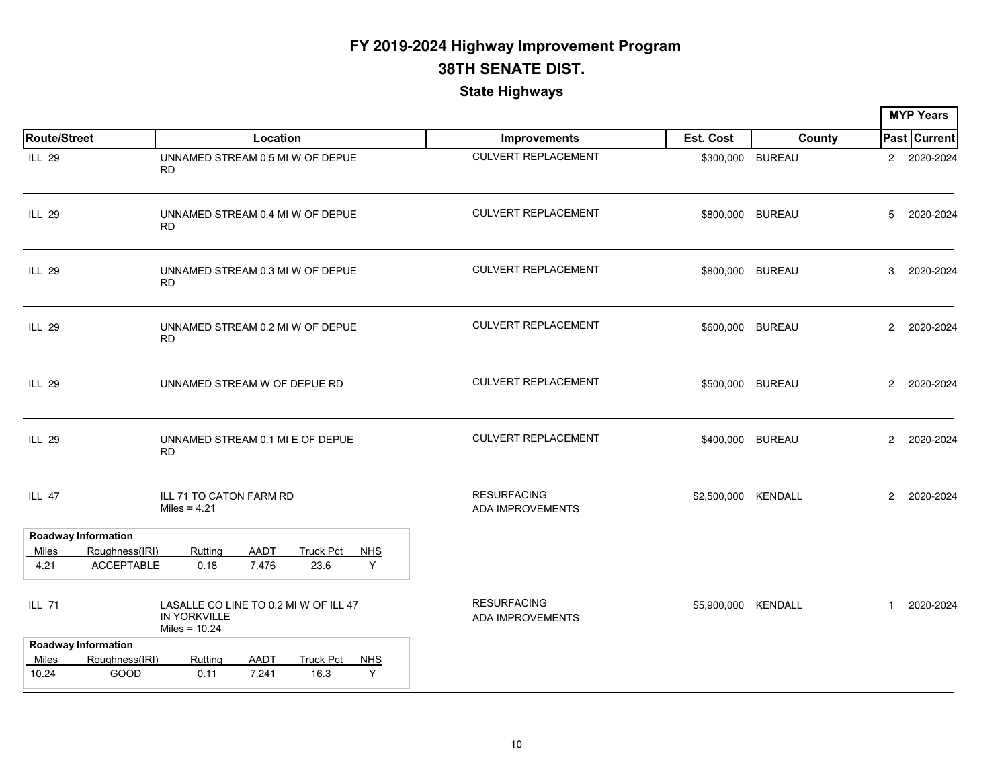|                     |                                     |                                                                                 |                      |                          |                 |                                               |           |                     |                      | <b>MYP Years</b> |
|---------------------|-------------------------------------|---------------------------------------------------------------------------------|----------------------|--------------------------|-----------------|-----------------------------------------------|-----------|---------------------|----------------------|------------------|
| <b>Route/Street</b> |                                     |                                                                                 | Location             |                          |                 | Improvements                                  | Est. Cost | County              |                      | Past Current     |
| <b>ILL 29</b>       |                                     | UNNAMED STREAM 0.5 MI W OF DEPUE<br><b>RD</b>                                   |                      |                          |                 | <b>CULVERT REPLACEMENT</b>                    |           | \$300,000 BUREAU    |                      | 2 2020-2024      |
| <b>ILL 29</b>       |                                     | UNNAMED STREAM 0.4 MI W OF DEPUE<br><b>RD</b>                                   |                      |                          |                 | <b>CULVERT REPLACEMENT</b>                    |           | \$800,000 BUREAU    | 5                    | 2020-2024        |
| ILL 29              |                                     | UNNAMED STREAM 0.3 MI W OF DEPUE<br><b>RD</b>                                   |                      |                          |                 | <b>CULVERT REPLACEMENT</b>                    |           | \$800,000 BUREAU    | 3                    | 2020-2024        |
| <b>ILL 29</b>       |                                     | UNNAMED STREAM 0.2 MI W OF DEPUE<br><b>RD</b>                                   |                      |                          |                 | <b>CULVERT REPLACEMENT</b>                    |           | \$600,000 BUREAU    | $\overline{2}$       | 2020-2024        |
| ILL 29              |                                     | UNNAMED STREAM W OF DEPUE RD                                                    |                      |                          |                 | <b>CULVERT REPLACEMENT</b>                    |           | \$500,000 BUREAU    |                      | 2 2020-2024      |
| <b>ILL 29</b>       |                                     | UNNAMED STREAM 0.1 MI E OF DEPUE<br><b>RD</b>                                   |                      |                          |                 | <b>CULVERT REPLACEMENT</b>                    |           | \$400,000 BUREAU    | $\mathbf{2}^{\circ}$ | 2020-2024        |
| ILL 47              |                                     | ILL 71 TO CATON FARM RD<br>Miles = $4.21$                                       |                      |                          |                 | <b>RESURFACING</b><br><b>ADA IMPROVEMENTS</b> |           | \$2,500,000 KENDALL | $\mathbf{2}^{\circ}$ | 2020-2024        |
|                     | <b>Roadway Information</b>          |                                                                                 |                      |                          |                 |                                               |           |                     |                      |                  |
| Miles<br>4.21       | Roughness(IRI)<br><b>ACCEPTABLE</b> | Rutting<br>0.18                                                                 | <b>AADT</b><br>7,476 | <b>Truck Pct</b><br>23.6 | <b>NHS</b><br>Y |                                               |           |                     |                      |                  |
| <b>ILL 71</b>       |                                     | LASALLE CO LINE TO 0.2 MI W OF ILL 47<br><b>IN YORKVILLE</b><br>Miles = $10.24$ |                      |                          |                 | <b>RESURFACING</b><br>ADA IMPROVEMENTS        |           | \$5,900,000 KENDALL | $\mathbf{1}$         | 2020-2024        |
|                     | <b>Roadway Information</b>          |                                                                                 |                      |                          |                 |                                               |           |                     |                      |                  |
| Miles               | Roughness(IRI)                      | Rutting                                                                         | <b>AADT</b>          | <b>Truck Pct</b>         | <b>NHS</b>      |                                               |           |                     |                      |                  |
| 10.24               | GOOD                                | 0.11                                                                            | 7,241                | 16.3                     | Y               |                                               |           |                     |                      |                  |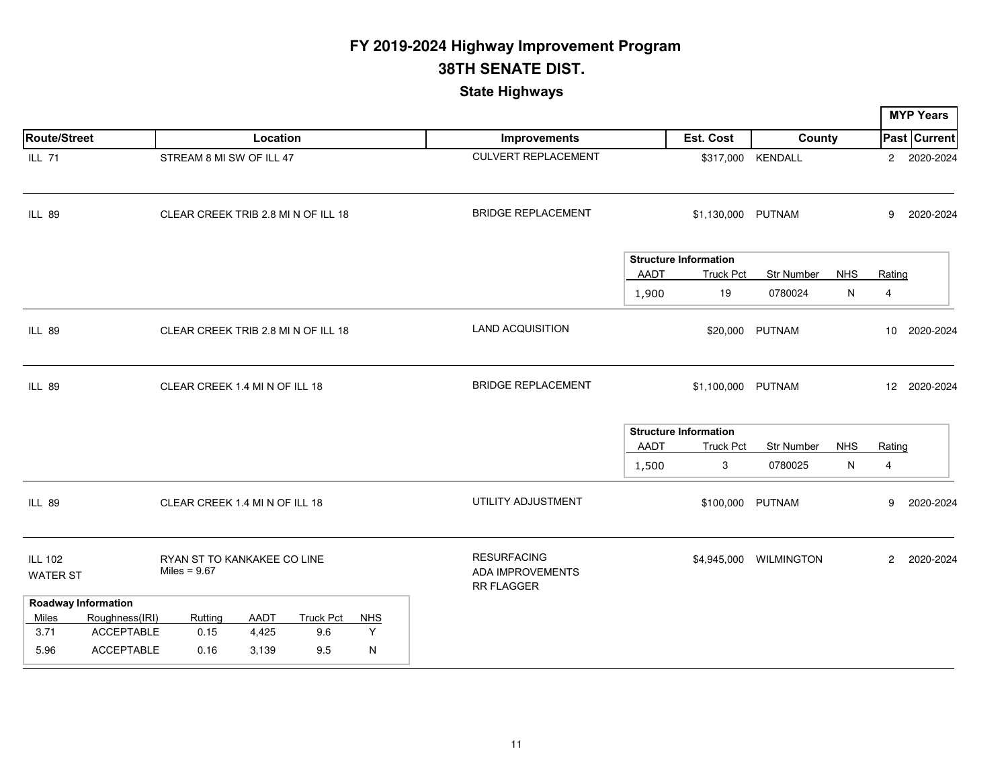|                                                                              |                                                                   |                        |                                |                      |                                                             |               |                                                        |                              |                 |                          | <b>MYP Years</b>    |
|------------------------------------------------------------------------------|-------------------------------------------------------------------|------------------------|--------------------------------|----------------------|-------------------------------------------------------------|---------------|--------------------------------------------------------|------------------------------|-----------------|--------------------------|---------------------|
| <b>Route/Street</b>                                                          |                                                                   | Location               |                                |                      | <b>Improvements</b>                                         |               | Est. Cost                                              | County                       |                 |                          | <b>Past Current</b> |
| <b>ILL 71</b>                                                                | STREAM 8 MI SW OF ILL 47                                          |                        |                                |                      | <b>CULVERT REPLACEMENT</b>                                  |               |                                                        | \$317,000 KENDALL            |                 |                          | 2 2020-2024         |
| <b>ILL 89</b>                                                                | CLEAR CREEK TRIB 2.8 MI N OF ILL 18                               |                        |                                |                      | <b>BRIDGE REPLACEMENT</b>                                   |               | \$1,130,000 PUTNAM                                     |                              |                 | 9                        | 2020-2024           |
|                                                                              |                                                                   |                        |                                |                      |                                                             | AADT<br>1,900 | <b>Structure Information</b><br><b>Truck Pct</b><br>19 | <b>Str Number</b><br>0780024 | <b>NHS</b><br>N | Rating<br>$\overline{4}$ |                     |
| <b>ILL 89</b>                                                                | CLEAR CREEK TRIB 2.8 MI N OF ILL 18                               |                        |                                |                      | <b>LAND ACQUISITION</b>                                     |               |                                                        | \$20,000 PUTNAM              |                 | 10                       | 2020-2024           |
| <b>ILL 89</b>                                                                | CLEAR CREEK 1.4 MI N OF ILL 18                                    |                        |                                |                      | <b>BRIDGE REPLACEMENT</b>                                   |               | \$1,100,000 PUTNAM                                     |                              |                 |                          | 12 2020-2024        |
|                                                                              |                                                                   |                        |                                |                      |                                                             | AADT<br>1,500 | <b>Structure Information</b><br><b>Truck Pct</b><br>3  | Str Number<br>0780025        | <b>NHS</b><br>N | Rating<br>4              |                     |
| <b>ILL 89</b>                                                                | CLEAR CREEK 1.4 MI N OF ILL 18                                    |                        |                                |                      | UTILITY ADJUSTMENT                                          |               |                                                        | \$100,000 PUTNAM             |                 | 9                        | 2020-2024           |
| <b>ILL 102</b><br><b>WATER ST</b>                                            | RYAN ST TO KANKAKEE CO LINE<br>Miles = $9.67$                     |                        |                                |                      | <b>RESURFACING</b><br>ADA IMPROVEMENTS<br><b>RR FLAGGER</b> |               | \$4,945,000                                            | <b>WILMINGTON</b>            |                 | $\overline{2}$           | 2020-2024           |
| <b>Roadway Information</b><br>Roughness(IRI)<br><b>Miles</b><br>3.71<br>5.96 | Ruttina<br><b>ACCEPTABLE</b><br>0.15<br><b>ACCEPTABLE</b><br>0.16 | AADT<br>4,425<br>3,139 | <b>Truck Pct</b><br>9.6<br>9.5 | <b>NHS</b><br>Y<br>N |                                                             |               |                                                        |                              |                 |                          |                     |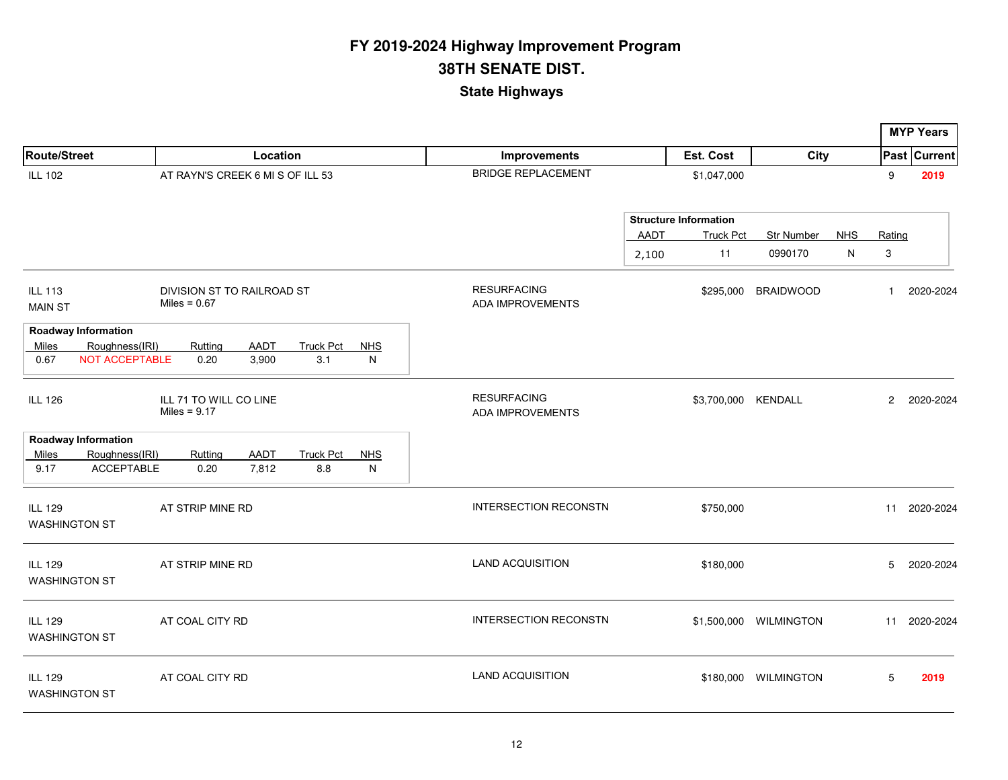|                                        |                                                                |                                              |                      |                         |                 |                                               |                      |                                                        |                        |                 |                | <b>MYP Years</b>    |
|----------------------------------------|----------------------------------------------------------------|----------------------------------------------|----------------------|-------------------------|-----------------|-----------------------------------------------|----------------------|--------------------------------------------------------|------------------------|-----------------|----------------|---------------------|
| Route/Street                           |                                                                |                                              | Location             |                         |                 | Improvements                                  |                      | Est. Cost                                              | City                   |                 |                | <b>Past Current</b> |
| <b>ILL 102</b>                         |                                                                | AT RAYN'S CREEK 6 MI S OF ILL 53             |                      |                         |                 | <b>BRIDGE REPLACEMENT</b>                     |                      | \$1,047,000                                            |                        |                 | 9              | 2019                |
|                                        |                                                                |                                              |                      |                         |                 |                                               | <b>AADT</b><br>2,100 | <b>Structure Information</b><br><b>Truck Pct</b><br>11 | Str Number<br>0990170  | <b>NHS</b><br>N | Rating<br>3    |                     |
| <b>ILL 113</b><br><b>MAIN ST</b>       |                                                                | DIVISION ST TO RAILROAD ST<br>Miles = $0.67$ |                      |                         |                 | <b>RESURFACING</b><br><b>ADA IMPROVEMENTS</b> |                      | \$295,000                                              | <b>BRAIDWOOD</b>       |                 | $\mathbf{1}$   | 2020-2024           |
| Miles<br>0.67                          | <b>Roadway Information</b><br>Roughness(IRI)<br>NOT ACCEPTABLE | Rutting<br>0.20                              | <b>AADT</b><br>3,900 | <b>Truck Pct</b><br>3.1 | <b>NHS</b><br>N |                                               |                      |                                                        |                        |                 |                |                     |
| <b>ILL 126</b>                         |                                                                | ILL 71 TO WILL CO LINE<br>Miles = $9.17$     |                      |                         |                 | <b>RESURFACING</b><br><b>ADA IMPROVEMENTS</b> |                      | \$3,700,000 KENDALL                                    |                        |                 | $\overline{c}$ | 2020-2024           |
|                                        | <b>Roadway Information</b>                                     |                                              |                      |                         |                 |                                               |                      |                                                        |                        |                 |                |                     |
| Miles<br>9.17                          | Roughness(IRI)<br><b>ACCEPTABLE</b>                            | Rutting<br>0.20                              | <b>AADT</b><br>7,812 | <b>Truck Pct</b><br>8.8 | <b>NHS</b><br>N |                                               |                      |                                                        |                        |                 |                |                     |
| <b>ILL 129</b><br><b>WASHINGTON ST</b> |                                                                | AT STRIP MINE RD                             |                      |                         |                 | <b>INTERSECTION RECONSTN</b>                  |                      | \$750,000                                              |                        |                 |                | 11 2020-2024        |
| <b>ILL 129</b><br><b>WASHINGTON ST</b> |                                                                | AT STRIP MINE RD                             |                      |                         |                 | <b>LAND ACQUISITION</b>                       |                      | \$180,000                                              |                        |                 | 5              | 2020-2024           |
| <b>ILL 129</b><br><b>WASHINGTON ST</b> |                                                                | AT COAL CITY RD                              |                      |                         |                 | <b>INTERSECTION RECONSTN</b>                  |                      |                                                        | \$1,500,000 WILMINGTON |                 | 11             | 2020-2024           |
| <b>ILL 129</b><br><b>WASHINGTON ST</b> |                                                                | AT COAL CITY RD                              |                      |                         |                 | <b>LAND ACQUISITION</b>                       |                      |                                                        | \$180,000 WILMINGTON   |                 | 5              | 2019                |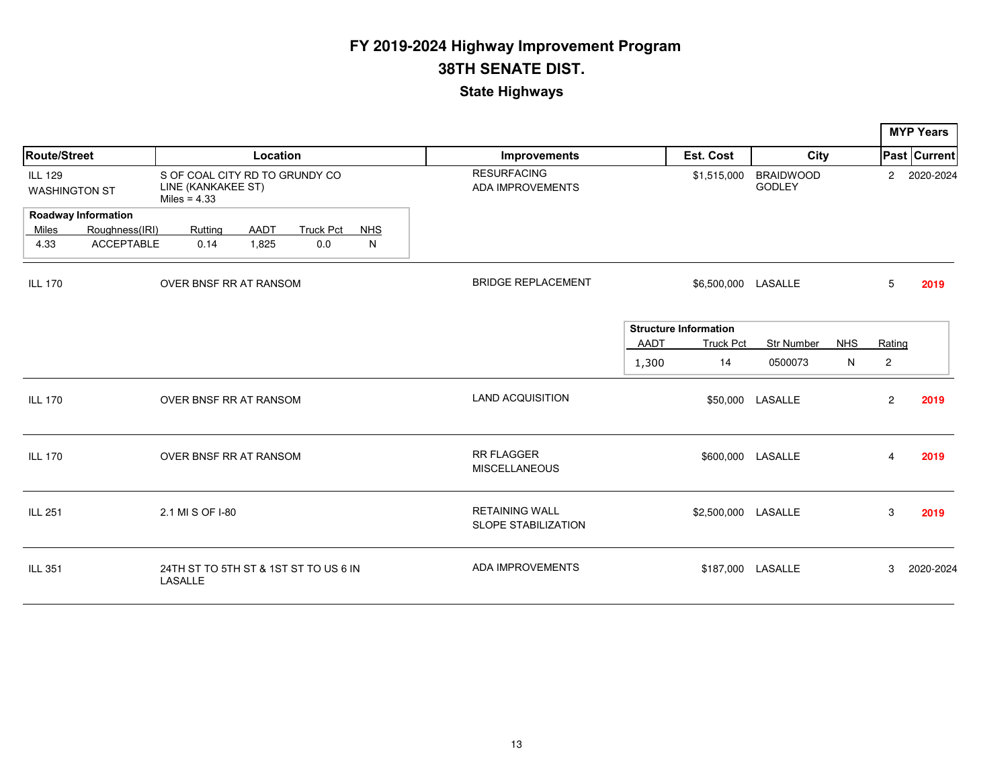|                                        |                               |                                      |         |             |                                       |            |  |                                                     |       |                              |                                   |            |                | <b>MYP Years</b>    |  |
|----------------------------------------|-------------------------------|--------------------------------------|---------|-------------|---------------------------------------|------------|--|-----------------------------------------------------|-------|------------------------------|-----------------------------------|------------|----------------|---------------------|--|
| <b>Route/Street</b>                    |                               | Location                             |         |             |                                       |            |  | Improvements                                        |       | Est. Cost                    | City                              |            |                | <b>Past Current</b> |  |
| <b>ILL 129</b><br><b>WASHINGTON ST</b> |                               | LINE (KANKAKEE ST)<br>Miles = $4.33$ |         |             | S OF COAL CITY RD TO GRUNDY CO        |            |  | <b>RESURFACING</b><br><b>ADA IMPROVEMENTS</b>       |       | \$1,515,000                  | <b>BRAIDWOOD</b><br><b>GODLEY</b> |            | $\overline{2}$ | 2020-2024           |  |
|                                        | <b>Roadway Information</b>    |                                      |         |             |                                       |            |  |                                                     |       |                              |                                   |            |                |                     |  |
| Miles                                  | Roughness(IRI)                |                                      | Rutting | <b>AADT</b> | <b>Truck Pct</b>                      | <b>NHS</b> |  |                                                     |       |                              |                                   |            |                |                     |  |
| 4.33                                   | <b>ACCEPTABLE</b>             |                                      | 0.14    | 1,825       | 0.0                                   | N          |  |                                                     |       |                              |                                   |            |                |                     |  |
| <b>ILL 170</b>                         | <b>OVER BNSF RR AT RANSOM</b> |                                      |         |             |                                       |            |  | <b>BRIDGE REPLACEMENT</b>                           |       | \$6,500,000 LASALLE          |                                   |            | 5              | 2019                |  |
|                                        |                               |                                      |         |             |                                       |            |  |                                                     |       | <b>Structure Information</b> |                                   |            |                |                     |  |
|                                        |                               |                                      |         |             |                                       |            |  |                                                     | AADT  | <b>Truck Pct</b>             | <b>Str Number</b>                 | <b>NHS</b> | Rating         |                     |  |
|                                        |                               |                                      |         |             |                                       |            |  |                                                     | 1,300 | 14                           | 0500073                           | N          | $\overline{2}$ |                     |  |
| <b>ILL 170</b>                         |                               | OVER BNSF RR AT RANSOM               |         |             |                                       |            |  | <b>LAND ACQUISITION</b>                             |       |                              | \$50,000 LASALLE                  |            | $\overline{2}$ | 2019                |  |
| <b>ILL 170</b>                         |                               | OVER BNSF RR AT RANSOM               |         |             |                                       |            |  | <b>RR FLAGGER</b><br><b>MISCELLANEOUS</b>           |       |                              | \$600,000 LASALLE                 |            | 4              | 2019                |  |
| <b>ILL 251</b>                         |                               | 2.1 MI S OF I-80                     |         |             |                                       |            |  | <b>RETAINING WALL</b><br><b>SLOPE STABILIZATION</b> |       | \$2,500,000 LASALLE          |                                   |            | 3              | 2019                |  |
| ILL 351                                |                               | <b>LASALLE</b>                       |         |             | 24TH ST TO 5TH ST & 1ST ST TO US 6 IN |            |  | <b>ADA IMPROVEMENTS</b>                             |       |                              | \$187,000 LASALLE                 |            | 3              | 2020-2024           |  |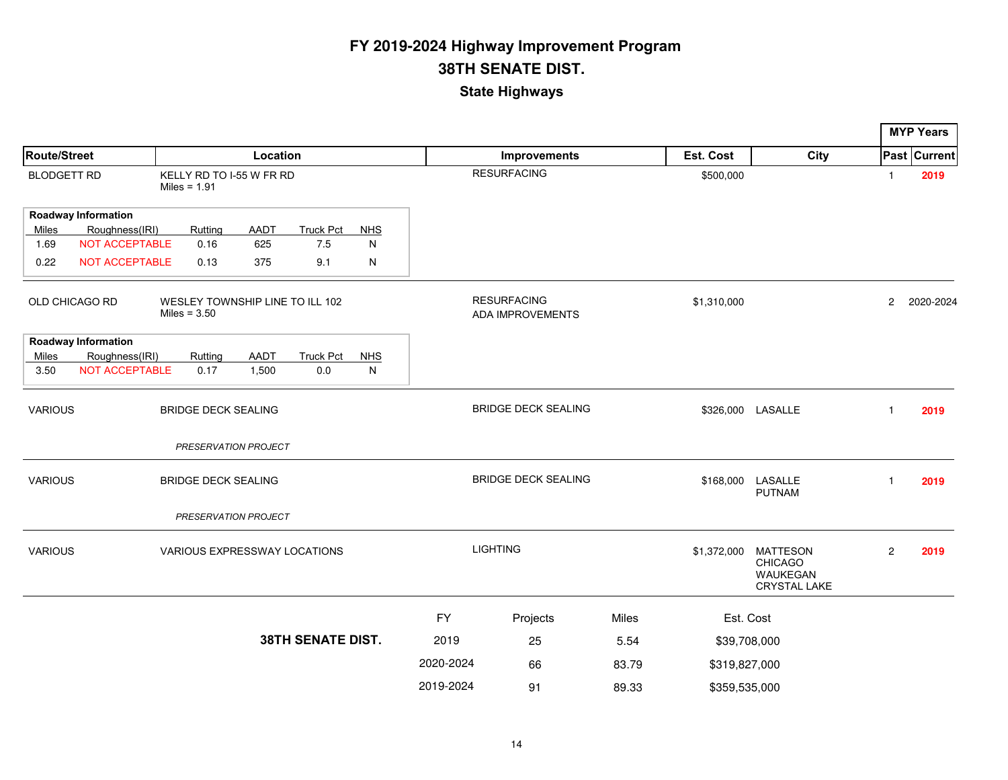|                                                                     |                            |                |           |                            |                              |               |                                        |                            |       |               |                                                                      | <b>MYP Years</b> |                     |
|---------------------------------------------------------------------|----------------------------|----------------|-----------|----------------------------|------------------------------|---------------|----------------------------------------|----------------------------|-------|---------------|----------------------------------------------------------------------|------------------|---------------------|
| Route/Street                                                        |                            |                |           | Location                   |                              |               | Improvements                           |                            |       | Est. Cost     | City                                                                 |                  | <b>Past Current</b> |
| <b>BLODGETT RD</b>                                                  |                            | Miles = $1.91$ |           | KELLY RD TO I-55 W FR RD   |                              |               |                                        | <b>RESURFACING</b>         |       | \$500,000     |                                                                      | $\mathbf{1}$     | 2019                |
|                                                                     | <b>Roadway Information</b> |                |           |                            |                              |               |                                        |                            |       |               |                                                                      |                  |                     |
| Miles                                                               | Roughness(IRI)             |                | Rutting   | <b>AADT</b>                | Truck Pct                    | <b>NHS</b>    |                                        |                            |       |               |                                                                      |                  |                     |
| 1.69                                                                | NOT ACCEPTABLE             |                | 0.16      | 625                        | 7.5                          | N             |                                        |                            |       |               |                                                                      |                  |                     |
| 0.22                                                                | <b>NOT ACCEPTABLE</b>      |                | 0.13      | 375                        | 9.1                          | N             |                                        |                            |       |               |                                                                      |                  |                     |
| WESLEY TOWNSHIP LINE TO ILL 102<br>OLD CHICAGO RD<br>Miles = $3.50$ |                            |                |           |                            |                              |               | <b>RESURFACING</b><br>ADA IMPROVEMENTS |                            |       | \$1,310,000   |                                                                      | $\overline{c}$   | 2020-2024           |
|                                                                     | <b>Roadway Information</b> |                |           |                            |                              |               |                                        |                            |       |               |                                                                      |                  |                     |
| Miles                                                               | Roughness(IRI)             |                | Rutting   | <b>AADT</b>                | <b>Truck Pct</b>             | <b>NHS</b>    |                                        |                            |       |               |                                                                      |                  |                     |
| 3.50                                                                | <b>NOT ACCEPTABLE</b>      |                | 0.17      | 1,500                      | 0.0                          | N             |                                        |                            |       |               |                                                                      |                  |                     |
| <b>VARIOUS</b>                                                      |                            |                |           | <b>BRIDGE DECK SEALING</b> |                              |               |                                        | <b>BRIDGE DECK SEALING</b> |       |               | \$326,000 LASALLE                                                    | $\mathbf{1}$     | 2019                |
|                                                                     |                            |                |           | PRESERVATION PROJECT       |                              |               |                                        |                            |       |               |                                                                      |                  |                     |
| <b>VARIOUS</b>                                                      |                            |                |           | <b>BRIDGE DECK SEALING</b> |                              |               |                                        | <b>BRIDGE DECK SEALING</b> |       | \$168,000     | LASALLE<br><b>PUTNAM</b>                                             | $\mathbf{1}$     | 2019                |
|                                                                     |                            |                |           | PRESERVATION PROJECT       |                              |               |                                        |                            |       |               |                                                                      |                  |                     |
| <b>VARIOUS</b>                                                      |                            |                |           |                            | VARIOUS EXPRESSWAY LOCATIONS |               |                                        | <b>LIGHTING</b>            |       | \$1,372,000   | <b>MATTESON</b><br><b>CHICAGO</b><br>WAUKEGAN<br><b>CRYSTAL LAKE</b> | $\overline{c}$   | 2019                |
|                                                                     |                            |                |           |                            |                              |               | <b>FY</b>                              | Projects                   | Miles | Est. Cost     |                                                                      |                  |                     |
| <b>38TH SENATE DIST.</b>                                            |                            |                |           | 2019                       | 25                           | 5.54          | \$39,708,000                           |                            |       |               |                                                                      |                  |                     |
|                                                                     |                            |                | 2020-2024 | 66                         | 83.79                        | \$319,827,000 |                                        |                            |       |               |                                                                      |                  |                     |
|                                                                     |                            |                |           |                            |                              |               |                                        |                            |       |               |                                                                      |                  |                     |
|                                                                     |                            |                |           |                            |                              |               | 2019-2024                              | 91                         | 89.33 | \$359,535,000 |                                                                      |                  |                     |